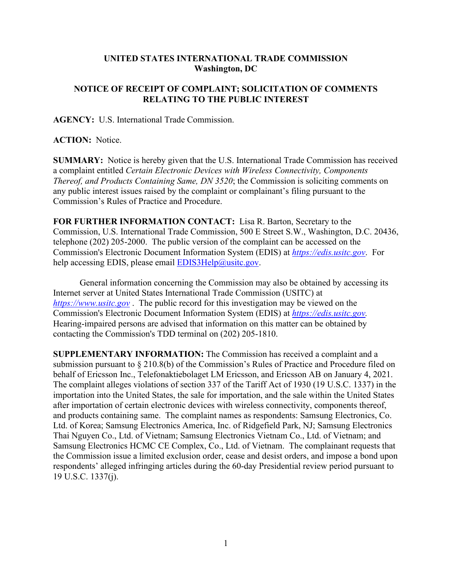## **UNITED STATES INTERNATIONAL TRADE COMMISSION Washington, DC**

## **NOTICE OF RECEIPT OF COMPLAINT; SOLICITATION OF COMMENTS RELATING TO THE PUBLIC INTEREST**

**AGENCY:** U.S. International Trade Commission.

**ACTION:** Notice.

**SUMMARY:** Notice is hereby given that the U.S. International Trade Commission has received a complaint entitled *Certain Electronic Devices with Wireless Connectivity, Components Thereof, and Products Containing Same, DN 3520*; the Commission is soliciting comments on any public interest issues raised by the complaint or complainant's filing pursuant to the Commission's Rules of Practice and Procedure.

**FOR FURTHER INFORMATION CONTACT:** Lisa R. Barton, Secretary to the Commission, U.S. International Trade Commission, 500 E Street S.W., Washington, D.C. 20436, telephone (202) 205-2000. The public version of the complaint can be accessed on the Commission's Electronic Document Information System (EDIS) at *[https://edis.usitc.gov](https://edis.usitc.gov/)*. For help accessing EDIS, please email  $EDIS3Help@usite.gov$ .

General information concerning the Commission may also be obtained by accessing its Internet server at United States International Trade Commission (USITC) at *[https://www.usitc.gov](https://www.usitc.gov/)* . The public record for this investigation may be viewed on the Commission's Electronic Document Information System (EDIS) at *[https://edis.usitc.gov.](https://edis.usitc.gov/)* Hearing-impaired persons are advised that information on this matter can be obtained by contacting the Commission's TDD terminal on (202) 205-1810.

**SUPPLEMENTARY INFORMATION:** The Commission has received a complaint and a submission pursuant to § 210.8(b) of the Commission's Rules of Practice and Procedure filed on behalf of Ericsson Inc., Telefonaktiebolaget LM Ericsson, and Ericsson AB on January 4, 2021. The complaint alleges violations of section 337 of the Tariff Act of 1930 (19 U.S.C. 1337) in the importation into the United States, the sale for importation, and the sale within the United States after importation of certain electronic devices with wireless connectivity, components thereof, and products containing same. The complaint names as respondents: Samsung Electronics, Co. Ltd. of Korea; Samsung Electronics America, Inc. of Ridgefield Park, NJ; Samsung Electronics Thai Nguyen Co., Ltd. of Vietnam; Samsung Electronics Vietnam Co., Ltd. of Vietnam; and Samsung Electronics HCMC CE Complex, Co., Ltd. of Vietnam. The complainant requests that the Commission issue a limited exclusion order, cease and desist orders, and impose a bond upon respondents' alleged infringing articles during the 60-day Presidential review period pursuant to 19 U.S.C. 1337(j).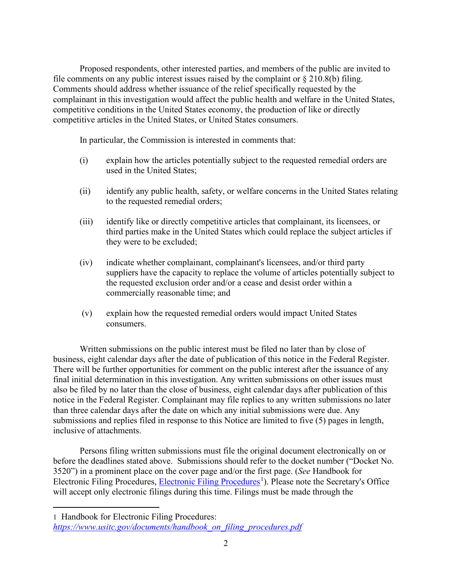Proposed respondents, other interested parties, and members of the public are invited to file comments on any public interest issues raised by the complaint or  $\S 210.8(b)$  filing. Comments should address whether issuance of the relief specifically requested by the complainant in this investigation would affect the public health and welfare in the United States, competitive conditions in the United States economy, the production of like or directly competitive articles in the United States, or United States consumers.

In particular, the Commission is interested in comments that:

- (i) explain how the articles potentially subject to the requested remedial orders are used in the United States;
- (ii) identify any public health, safety, or welfare concerns in the United States relating to the requested remedial orders;
- (iii) identify like or directly competitive articles that complainant, its licensees, or third parties make in the United States which could replace the subject articles if they were to be excluded;
- (iv) indicate whether complainant, complainant's licensees, and/or third party suppliers have the capacity to replace the volume of articles potentially subject to the requested exclusion order and/or a cease and desist order within a commercially reasonable time; and
- (v) explain how the requested remedial orders would impact United States consumers.

Written submissions on the public interest must be filed no later than by close of business, eight calendar days after the date of publication of this notice in the Federal Register. There will be further opportunities for comment on the public interest after the issuance of any final initial determination in this investigation. Any written submissions on other issues must also be filed by no later than the close of business, eight calendar days after publication of this notice in the Federal Register. Complainant may file replies to any written submissions no later than three calendar days after the date on which any initial submissions were due. Any submissions and replies filed in response to this Notice are limited to five (5) pages in length, inclusive of attachments.

Persons filing written submissions must file the original document electronically on or before the deadlines stated above. Submissions should refer to the docket number ("Docket No. 3520") in a prominent place on the cover page and/or the first page. (*See* Handbook for Electronic Filing Procedures, [Electronic Filing Procedures](https://www.usitc.gov/documents/handbook_on_filing_procedures.pdf)<sup>[1](#page-1-0)</sup>). Please note the Secretary's Office will accept only electronic filings during this time. Filings must be made through the

<span id="page-1-0"></span><sup>1</sup> Handbook for Electronic Filing Procedures: *[https://www.usitc.gov/documents/handbook\\_on\\_filing\\_procedures.pdf](https://www.usitc.gov/documents/handbook_on_filing_procedures.pdf)*